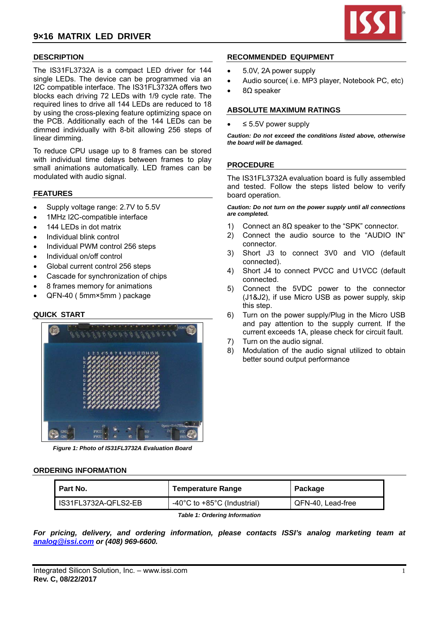# **9×16 MATRIX LED DRIVER**



# **DESCRIPTION**

The IS31FL3732A is a compact LED driver for 144 single LEDs. The device can be programmed via an I2C compatible interface. The IS31FL3732A offers two blocks each driving 72 LEDs with 1/9 cycle rate. The required lines to drive all 144 LEDs are reduced to 18 by using the cross-plexing feature optimizing space on the PCB. Additionally each of the 144 LEDs can be dimmed individually with 8-bit allowing 256 steps of linear dimming.

To reduce CPU usage up to 8 frames can be stored with individual time delays between frames to play small animations automatically. LED frames can be modulated with audio signal.

### **FEATURES**

- Supply voltage range: 2.7V to 5.5V
- 1MHz I2C-compatible interface
- 144 LEDs in dot matrix
- Individual blink control
- Individual PWM control 256 steps
- Individual on/off control
- Global current control 256 steps
- Cascade for synchronization of chips
- 8 frames memory for animations
- QFN-40 ( 5mm×5mm ) package

## **QUICK START**



*Figure 1: Photo of IS31FL3732A Evaluation Board* 

#### **ORDERING INFORMATION**

| I Part No.                           | <b>Temperature Range</b>                          | Package           |  |  |
|--------------------------------------|---------------------------------------------------|-------------------|--|--|
| IS31FL3732A-QFLS2-EB                 | -40 $^{\circ}$ C to +85 $^{\circ}$ C (Industrial) | QFN-40. Lead-free |  |  |
| <b>Table 1: Ordering Information</b> |                                                   |                   |  |  |

*For pricing, delivery, and ordering information, please contacts ISSI's analog marketing team at analog@issi.com or (408) 969-6600.* 

### **RECOMMENDED EQUIPMENT**

- 5.0V, 2A power supply
- Audio source( i.e. MP3 player, Notebook PC, etc)
- 8Ω speaker

#### **ABSOLUTE MAXIMUM RATINGS**

≤ 5.5V power supply

*Caution: Do not exceed the conditions listed above, otherwise the board will be damaged.* 

#### **PROCEDURE**

The IS31FL3732A evaluation board is fully assembled and tested. Follow the steps listed below to verify board operation.

*Caution: Do not turn on the power supply until all connections are completed.* 

- 1) Connect an 8Ω speaker to the "SPK" connector.
- 2) Connect the audio source to the "AUDIO IN" connector.
- 3) Short J3 to connect 3V0 and VIO (default connected).
- 4) Short J4 to connect PVCC and U1VCC (default connected.
- 5) Connect the 5VDC power to the connector (J1&J2), if use Micro USB as power supply, skip this step.
- 6) Turn on the power supply/Plug in the Micro USB and pay attention to the supply current. If the current exceeds 1A, please check for circuit fault.
- 7) Turn on the audio signal.
- 8) Modulation of the audio signal utilized to obtain better sound output performance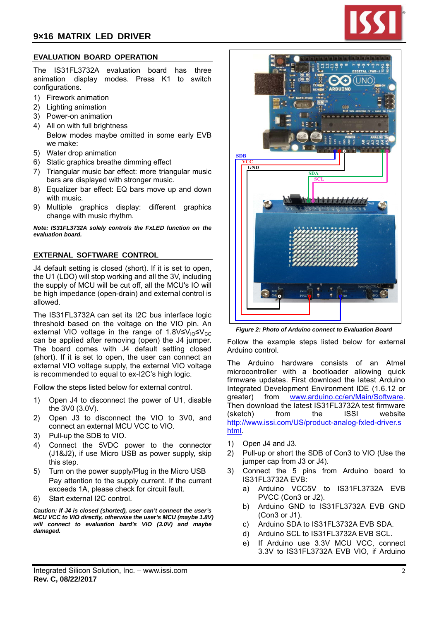# **EVALUATION BOARD OPERATION**

The IS31FL3732A evaluation board has three animation display modes. Press K1 to switch configurations.

- 1) Firework animation
- 2) Lighting animation
- 3) Power-on animation
- 4) All on with full brightness Below modes maybe omitted in some early EVB we make:
- 5) Water drop animation
- 6) Static graphics breathe dimming effect
- 7) Triangular music bar effect: more triangular music bars are displayed with stronger music.
- 8) Equalizer bar effect: EQ bars move up and down with music.
- 9) Multiple graphics display: different graphics change with music rhythm.

*Note: IS31FL3732A solely controls the FxLED function on the evaluation board.*

## **EXTERNAL SOFTWARE CONTROL**

J4 default setting is closed (short). If it is set to open, the U1 (LDO) will stop working and all the 3V, including the supply of MCU will be cut off, all the MCU's IO will be high impedance (open-drain) and external control is allowed.

The IS31FL3732A can set its I2C bus interface logic threshold based on the voltage on the VIO pin. An external VIO voltage in the range of  $1.8V \leq V_{\text{LO}} \leq V_{\text{CC}}$ can be applied after removing (open) the J4 jumper. The board comes with J4 default setting closed (short). If it is set to open, the user can connect an external VIO voltage supply, the external VIO voltage is recommended to equal to ex-I2C's high logic.

Follow the steps listed below for external control.

- 1) Open J4 to disconnect the power of U1, disable the 3V0 (3.0V).
- 2) Open J3 to disconnect the VIO to 3V0, and connect an external MCU VCC to VIO.
- 3) Pull-up the SDB to VIO.
- 4) Connect the 5VDC power to the connector (J1&J2), if use Micro USB as power supply, skip this step.
- 5) Turn on the power supply/Plug in the Micro USB Pay attention to the supply current. If the current exceeds 1A, please check for circuit fault.
- 6) Start external I2C control.

*Caution: If J4 is closed (shorted), user can't connect the user's MCU VCC to VIO directly, otherwise the user's MCU (maybe 1.8V) will connect to evaluation bard's VIO (3.0V) and maybe damaged.* 



*Figure 2: Photo of Arduino connect to Evaluation Board* 

Follow the example steps listed below for external Arduino control.

The Arduino hardware consists of an Atmel microcontroller with a bootloader allowing quick firmware updates. First download the latest Arduino Integrated Development Environment IDE (1.6.12 or greater) from www.arduino.cc/en/Main/Software. Then download the latest IS31FL3732A test firmware (sketch) from the ISSI website http://www.issi.com/US/product-analog-fxled-driver.s html.

- 1) Open J4 and J3.
- 2) Pull-up or short the SDB of Con3 to VIO (Use the jumper cap from J3 or J4).
- 3) Connect the 5 pins from Arduino board to IS31FL3732A EVB:
	- a) Arduino VCC5V to IS31FL3732A EVB PVCC (Con3 or J2).
	- b) Arduino GND to IS31FL3732A EVB GND (Con3 or J1).
	- c) Arduino SDA to IS31FL3732A EVB SDA.
	- d) Arduino SCL to IS31FL3732A EVB SCL.
	- e) If Arduino use 3.3V MCU VCC, connect 3.3V to IS31FL3732A EVB VIO, if Arduino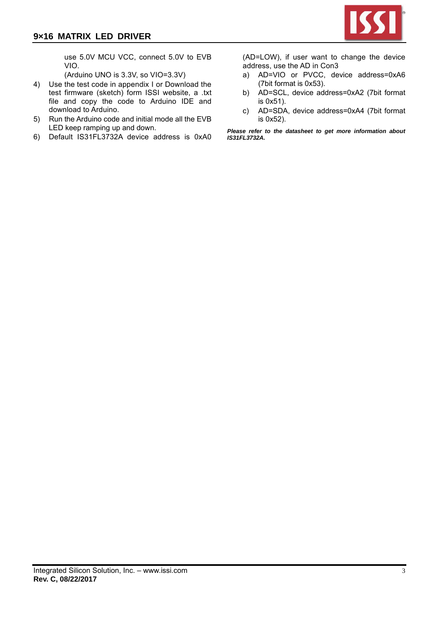

use 5.0V MCU VCC, connect 5.0V to EVB VIO.

(Arduino UNO is 3.3V, so VIO=3.3V)

- 4) Use the test code in appendix I or Download the test firmware (sketch) form ISSI website, a .txt file and copy the code to Arduino IDE and download to Arduino.
- 5) Run the Arduino code and initial mode all the EVB LED keep ramping up and down.
- 6) Default IS31FL3732A device address is 0xA0

(AD=LOW), if user want to change the device address, use the AD in Con3

- a) AD=VIO or PVCC, device address=0xA6 (7bit format is 0x53).
- b) AD=SCL, device address=0xA2 (7bit format is 0x51).
- c) AD=SDA, device address=0xA4 (7bit format is 0x52).

*Please refer to the datasheet to get more information about IS31FL3732A.*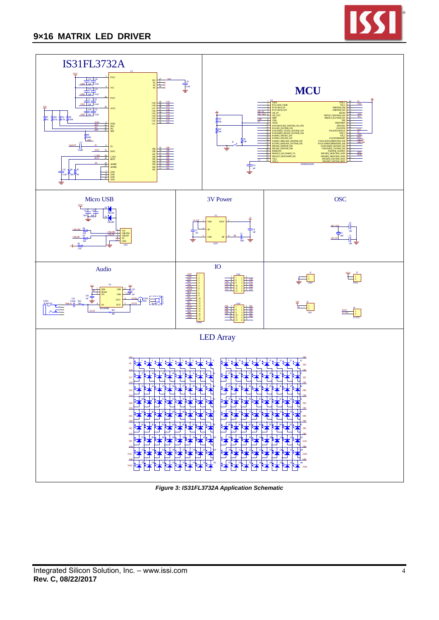



*Figure 3: IS31FL3732A Application Schematic*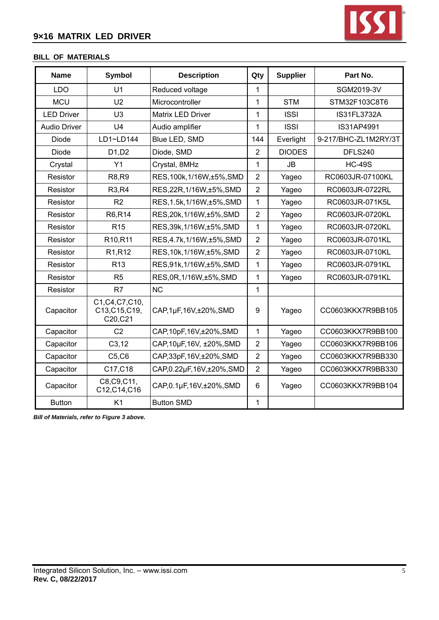

# **BILL OF MATERIALS**

| <b>Name</b>         | <b>Symbol</b>                                 | <b>Description</b>          | Qty            | <b>Supplier</b> | Part No.             |
|---------------------|-----------------------------------------------|-----------------------------|----------------|-----------------|----------------------|
| <b>LDO</b>          | U <sub>1</sub>                                | Reduced voltage             | 1              |                 | SGM2019-3V           |
| <b>MCU</b>          | U <sub>2</sub>                                | Microcontroller             | 1              | <b>STM</b>      | STM32F103C8T6        |
| <b>LED Driver</b>   | U3                                            | Matrix LED Driver           | 1              | <b>ISSI</b>     | IS31FL3732A          |
| <b>Audio Driver</b> | U <sub>4</sub>                                | Audio amplifier             | 1              | <b>ISSI</b>     | IS31AP4991           |
| Diode               | LD1~LD144                                     | Blue LED, SMD               | 144            | Everlight       | 9-217/BHC-ZL1M2RY/3T |
| Diode               | D <sub>1</sub> , D <sub>2</sub>               | Diode, SMD                  | $\overline{2}$ | <b>DIODES</b>   | DFLS240              |
| Crystal             | Y1                                            | Crystal, 8MHz               | 1              | <b>JB</b>       | <b>HC-49S</b>        |
| Resistor            | <b>R8,R9</b>                                  | RES, 100k, 1/16W, ±5%, SMD  | $\overline{2}$ | Yageo           | RC0603JR-07100KL     |
| Resistor            | R3, R4                                        | RES, 22R, 1/16W, ±5%, SMD   | $\overline{2}$ | Yageo           | RC0603JR-0722RL      |
| Resistor            | R <sub>2</sub>                                | RES, 1.5k, 1/16W, ±5%, SMD  | $\mathbf{1}$   | Yageo           | RC0603JR-071K5L      |
| Resistor            | R6,R14                                        | RES, 20k, 1/16W, ±5%, SMD   | $\overline{2}$ | Yageo           | RC0603JR-0720KL      |
| Resistor            | R <sub>15</sub>                               | RES, 39k, 1/16W, ±5%, SMD   | 1              | Yageo           | RC0603JR-0720KL      |
| Resistor            | R <sub>10</sub> ,R <sub>11</sub>              | RES, 4.7k, 1/16W, ±5%, SMD  | $\overline{2}$ | Yageo           | RC0603JR-0701KL      |
| Resistor            | R <sub>1</sub> ,R <sub>12</sub>               | RES, 10k, 1/16W, ±5%, SMD   | $\overline{2}$ | Yageo           | RC0603JR-0710KL      |
| Resistor            | R <sub>13</sub>                               | RES, 91k, 1/16W, ±5%, SMD   | 1              | Yageo           | RC0603JR-0791KL      |
| Resistor            | R <sub>5</sub>                                | RES, 0R, 1/16W, ±5%, SMD    | 1              | Yageo           | RC0603JR-0791KL      |
| Resistor            | R7                                            | <b>NC</b>                   | 1              |                 |                      |
| Capacitor           | C1, C4, C7, C10,<br>C13, C15, C19,<br>C20,C21 | CAP, 1µF, 16V, ±20%, SMD    | 9              | Yageo           | CC0603KKX7R9BB105    |
| Capacitor           | C <sub>2</sub>                                | CAP, 10pF, 16V, ±20%, SMD   | $\mathbf{1}$   | Yageo           | CC0603KKX7R9BB100    |
| Capacitor           | C3, 12                                        | CAP, 10µF, 16V, ±20%, SMD   | $\overline{2}$ | Yageo           | CC0603KKX7R9BB106    |
| Capacitor           | C5, C6                                        | CAP, 33pF, 16V, ±20%, SMD   | $\overline{2}$ | Yageo           | CC0603KKX7R9BB330    |
| Capacitor           | C17, C18                                      | CAP, 0.22µF, 16V, ±20%, SMD | $\overline{2}$ | Yageo           | CC0603KKX7R9BB330    |
| Capacitor           | C8, C9, C11,<br>C12, C14, C16                 | CAP, 0.1µF, 16V, ±20%, SMD  | 6              | Yageo           | CC0603KKX7R9BB104    |
| <b>Button</b>       | K1                                            | <b>Button SMD</b>           | 1              |                 |                      |

*Bill of Materials, refer to Figure 3 above.*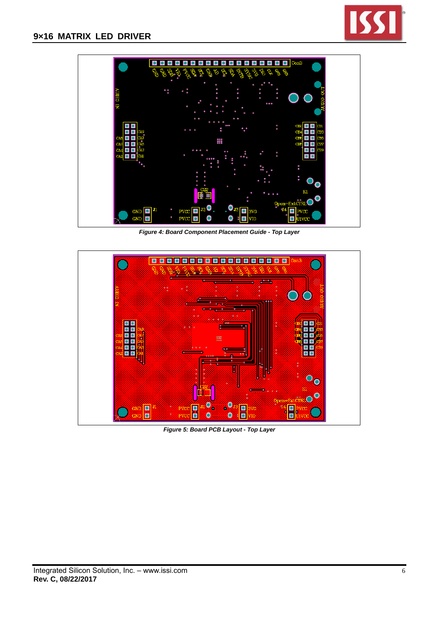



*Figure 4: Board Component Placement Guide - Top Layer* 



*Figure 5: Board PCB Layout - Top Layer*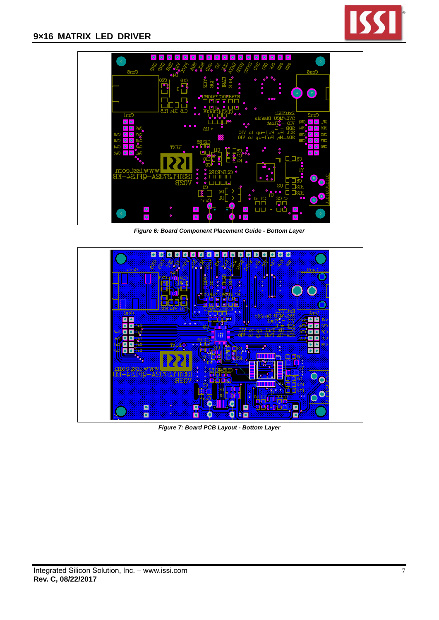



*Figure 6: Board Component Placement Guide - Bottom Layer* 



*Figure 7: Board PCB Layout - Bottom Layer*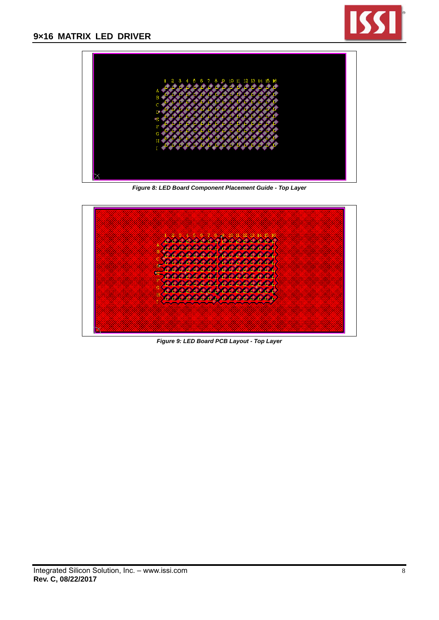



*Figure 8: LED Board Component Placement Guide - Top Layer* 



*Figure 9: LED Board PCB Layout - Top Layer*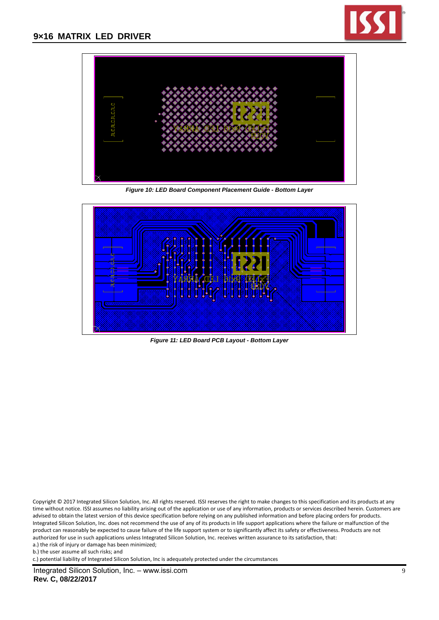



*Figure 10: LED Board Component Placement Guide - Bottom Layer* 



*Figure 11: LED Board PCB Layout - Bottom Layer*

Copyright © 2017 Integrated Silicon Solution, Inc. All rights reserved. ISSI reserves the right to make changes to this specification and its products at any time without notice. ISSI assumes no liability arising out of the application or use of any information, products or services described herein. Customers are advised to obtain the latest version of this device specification before relying on any published information and before placing orders for products. Integrated Silicon Solution, Inc. does not recommend the use of any of its products in life support applications where the failure or malfunction of the product can reasonably be expected to cause failure of the life support system or to significantly affect its safety or effectiveness. Products are not authorized for use in such applications unless Integrated Silicon Solution, Inc. receives written assurance to its satisfaction, that:

a.) the risk of injury or damage has been minimized;

b.) the user assume all such risks; and

c.) potential liability of Integrated Silicon Solution, Inc is adequately protected under the circumstances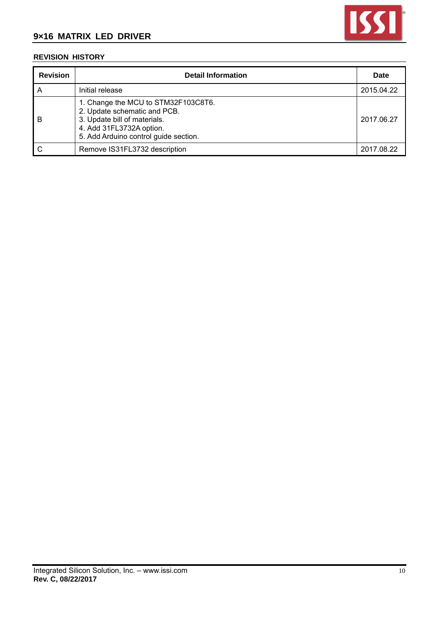

# **REVISION HISTORY**

| <b>Revision</b> | <b>Detail Information</b>                                                                                                                                                | <b>Date</b> |
|-----------------|--------------------------------------------------------------------------------------------------------------------------------------------------------------------------|-------------|
| A               | Initial release                                                                                                                                                          | 2015.04.22  |
| - B             | 1. Change the MCU to STM32F103C8T6.<br>2. Update schematic and PCB.<br>3. Update bill of materials.<br>4. Add 31FL3732A option.<br>5. Add Arduino control guide section. | 2017.06.27  |
|                 | Remove IS31FL3732 description                                                                                                                                            | 2017.08.22  |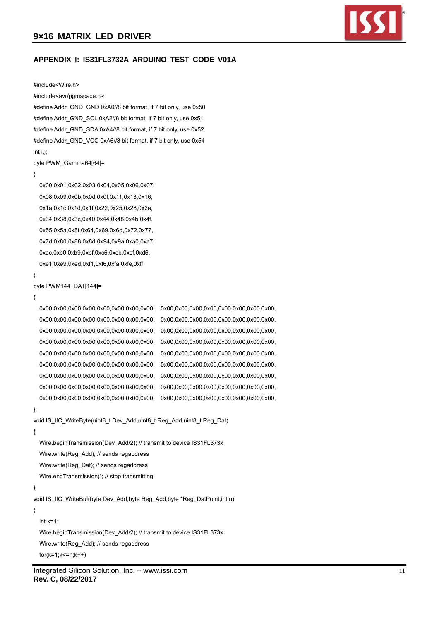

# **APPENDIX** Ⅰ**: IS31FL3732A ARDUINO TEST CODE V01A**

#### #include<Wire.h>

#### #include<avr/pgmspace.h>

#define Addr\_GND\_GND 0xA0//8 bit format, if 7 bit only, use 0x50 #define Addr\_GND\_SCL 0xA2//8 bit format, if 7 bit only, use 0x51 #define Addr\_GND\_SDA 0xA4//8 bit format, if 7 bit only, use 0x52 #define Addr\_GND\_VCC 0xA6//8 bit format, if 7 bit only, use 0x54 int i,j;

byte PWM\_Gamma64[64]=

```
{
```
 0x00,0x01,0x02,0x03,0x04,0x05,0x06,0x07, 0x08,0x09,0x0b,0x0d,0x0f,0x11,0x13,0x16, 0x1a,0x1c,0x1d,0x1f,0x22,0x25,0x28,0x2e, 0x34,0x38,0x3c,0x40,0x44,0x48,0x4b,0x4f, 0x55,0x5a,0x5f,0x64,0x69,0x6d,0x72,0x77, 0x7d,0x80,0x88,0x8d,0x94,0x9a,0xa0,0xa7, 0xac,0xb0,0xb9,0xbf,0xc6,0xcb,0xcf,0xd6, 0xe1,0xe9,0xed,0xf1,0xf6,0xfa,0xfe,0xff

};

#### byte PWM144\_DAT[144]=

```
{
```
 0x00,0x00,0x00,0x00,0x00,0x00,0x00,0x00, 0x00,0x00,0x00,0x00,0x00,0x00,0x00,0x00, 0x00,0x00,0x00,0x00,0x00,0x00,0x00,0x00, 0x00,0x00,0x00,0x00,0x00,0x00,0x00,0x00, 0x00,0x00,0x00,0x00,0x00,0x00,0x00,0x00, 0x00,0x00,0x00,0x00,0x00,0x00,0x00,0x00, 0x00,0x00,0x00,0x00,0x00,0x00,0x00,0x00, 0x00,0x00,0x00,0x00,0x00,0x00,0x00,0x00, 0x00,0x00,0x00,0x00,0x00,0x00,0x00,0x00, 0x00,0x00,0x00,0x00,0x00,0x00,0x00,0x00, 0x00,0x00,0x00,0x00,0x00,0x00,0x00,0x00, 0x00,0x00,0x00,0x00,0x00,0x00,0x00,0x00, 0x00,0x00,0x00,0x00,0x00,0x00,0x00,0x00, 0x00,0x00,0x00,0x00,0x00,0x00,0x00,0x00, 0x00,0x00,0x00,0x00,0x00,0x00,0x00,0x00, 0x00,0x00,0x00,0x00,0x00,0x00,0x00,0x00, 0x00,0x00,0x00,0x00,0x00,0x00,0x00,0x00, 0x00,0x00,0x00,0x00,0x00,0x00,0x00,0x00,

#### };

void IS\_IIC\_WriteByte(uint8\_t Dev\_Add,uint8\_t Reg\_Add,uint8\_t Reg\_Dat)

```
{
```
 Wire.beginTransmission(Dev\_Add/2); // transmit to device IS31FL373x Wire.write(Reg\_Add); // sends regaddress Wire.write(Reg\_Dat); // sends regaddress Wire.endTransmission(); // stop transmitting

}

void IS\_IIC\_WriteBuf(byte Dev\_Add,byte Reg\_Add,byte \*Reg\_DatPoint,int n)

{

int  $k=1$ :

Wire.beginTransmission(Dev\_Add/2); // transmit to device IS31FL373x

Wire.write(Reg\_Add); // sends regaddress

 $for(k=1;k<=n;k++)$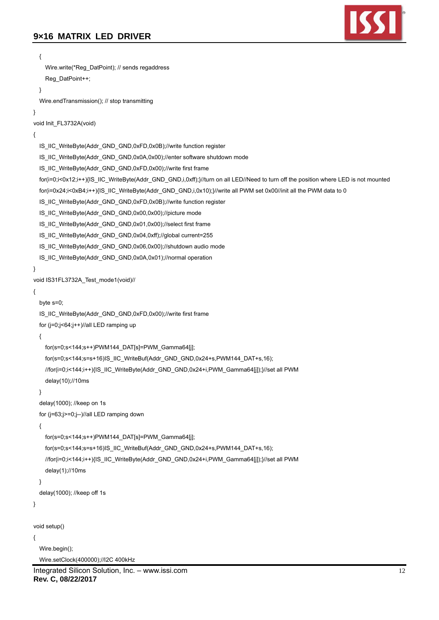

```
Integrated Silicon Solution, Inc. – www.issi.com 12 
   { 
     Wire.write(*Reg_DatPoint); // sends regaddress 
    Reg_DatPoint++:
   } 
   Wire.endTransmission(); // stop transmitting 
} 
void Init_FL3732A(void) 
{ 
   IS_IIC_WriteByte(Addr_GND_GND,0xFD,0x0B);//write function register 
   IS_IIC_WriteByte(Addr_GND_GND,0x0A,0x00);//enter software shutdown mode 
   IS_IIC_WriteByte(Addr_GND_GND,0xFD,0x00);//write first frame 
   for(i=0;i<0x12;i++){IS_IIC_WriteByte(Addr_GND_GND,i,0xff);}//turn on all LED//Need to turn off the position where LED is not mounted 
  for(i=0x24;i<0xB4;i++){IS_IIC_WriteByte(Addr_GND_GND,i,0x10);}//write all PWM set 0x00//init all the PWM data to 0
   IS_IIC_WriteByte(Addr_GND_GND,0xFD,0x0B);//write function register 
   IS_IIC_WriteByte(Addr_GND_GND,0x00,0x00);//picture mode 
   IS_IIC_WriteByte(Addr_GND_GND,0x01,0x00);//select first frame 
   IS_IIC_WriteByte(Addr_GND_GND,0x04,0xff);//global current=255 
   IS_IIC_WriteByte(Addr_GND_GND,0x06,0x00);//shutdown audio mode 
   IS_IIC_WriteByte(Addr_GND_GND,0x0A,0x01);//normal operation 
} 
void IS31FL3732A_Test_mode1(void)//
{ 
   byte s=0; 
   IS_IIC_WriteByte(Addr_GND_GND,0xFD,0x00);//write first frame 
   for (j=0;j<64;j++)//all LED ramping up 
   { 
     for(s=0;s<144;s++)PWM144_DAT[s]=PWM_Gamma64[j]; 
     for(s=0;s<144;s=s+16)IS_IIC_WriteBuf(Addr_GND_GND,0x24+s,PWM144_DAT+s,16); 
     //for(i=0;i<144;i++){IS_IIC_WriteByte(Addr_GND_GND,0x24+i,PWM_Gamma64[j]);}//set all PWM 
     delay(10);//10ms 
   } 
   delay(1000); //keep on 1s 
   for (j=63;j>=0;j--)//all LED ramping down 
   { 
     for(s=0;s<144;s++)PWM144_DAT[s]=PWM_Gamma64[j]; 
    for(s=0;s<144;s=s+16)IS_IIC_WriteBuf(Addr_GND_GND,0x24+s,PWM144_DAT+s,16);
     //for(i=0;i<144;i++){IS_IIC_WriteByte(Addr_GND_GND,0x24+i,PWM_Gamma64[j]);}//set all PWM 
     delay(1);//10ms 
   } 
   delay(1000); //keep off 1s 
} 
void setup() 
{ 
   Wire.begin(); 
   Wire.setClock(400000);//I2C 400kHz
```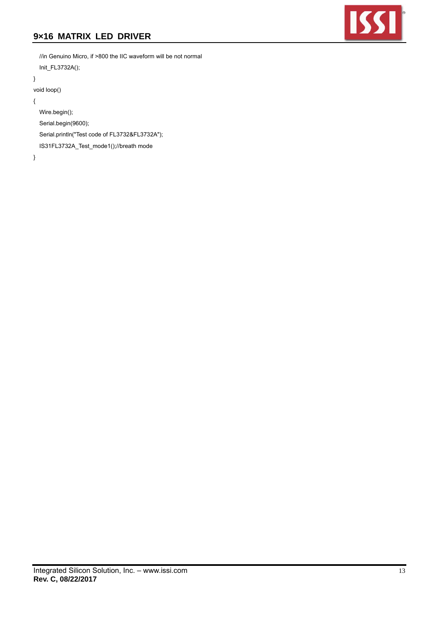

 //in Genuino Micro, if >800 the IIC waveform will be not normal Init\_FL3732A();

}

```
void loop()
```
{

Wire.begin();

Serial.begin(9600);

Serial.println("Test code of FL3732&FL3732A");

IS31FL3732A\_Test\_mode1();//breath mode

}